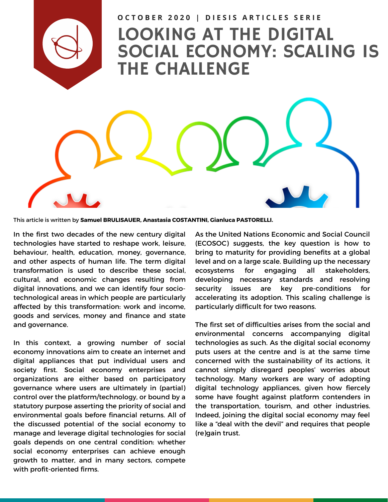

## LOOKING AT THE DIGITAL SOCIAL ECONOMY: SCALING IS THE CHALLENGE OCTOBER 2020 | DIESIS ARTICLES SERIE

This article is written by **Samuel BRULISAUER, Anastasia COSTANTINI, Gianluca PASTORELLI.**

In the first two decades of the new century digital technologies have started to reshape work, leisure, behaviour, health, education, money, governance, and other aspects of human life. The term digital transformation is used to describe these social, cultural, and economic changes resulting from digital innovations, and we can identify four sociotechnological areas in which people are particularly affected by this transformation: work and income, goods and services, money and finance and state and governance.

In this context, a growing number of social economy innovations aim to create an internet and digital appliances that put individual users and society first. Social economy enterprises and organizations are either based on participatory governance where users are ultimately in (partial) control over the platform/technology, or bound by a statutory purpose asserting the priority of social and environmental goals before financial returns. All of the discussed potential of the social economy to manage and leverage digital technologies for social goals depends on one central condition: whether social economy enterprises can achieve enough growth to matter, and in many sectors, compete with profit-oriented firms.

As the United Nations Economic and Social Council (ECOSOC) suggests, the key question is how to bring to maturity for providing benefits at a global level and on a large scale. Building up the necessary ecosystems for engaging all stakeholders, developing necessary standards and resolving security issues are key pre-conditions for accelerating its adoption. This scaling challenge is particularly difficult for two reasons.

The first set of difficulties arises from the social and environmental concerns accompanying digital technologies as such. As the digital social economy puts users at the centre and is at the same time concerned with the sustainability of its actions, it cannot simply disregard peoples' worries about technology. Many workers are wary of adopting digital technology appliances, given how fiercely some have fought against platform contenders in the transportation, tourism, and other industries. Indeed, joining the digital social economy may feel like a "deal with the devil" and requires that people (re)gain trust.